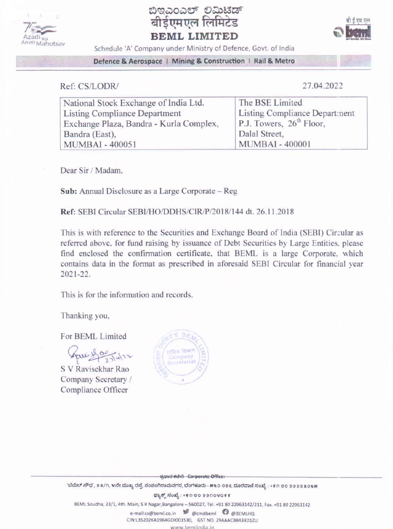





Schedule 'A' Company under Ministry of Defence, Govt. of India

Defence & Aerospace | Mining & Construction | Rail & Metro

Ref: CS/LODR/

27.04.2022

| National Stock Exchange of India Ltd.   | The BSE Limited                      |  |
|-----------------------------------------|--------------------------------------|--|
| Listing Compliance Department           | Listing Compliance Department        |  |
| Exchange Plaza, Bandra - Kurla Complex, | P.J. Towers, $26^{\text{th}}$ Floor, |  |
| Bandra (East),                          | Dalal Street,                        |  |
| <b>MUMBAI - 400051</b>                  | <b>MUMBAI - 400001</b>               |  |

Dear Sir / Madam,

Sub: Annual Disclosure as a Large Corporate - Reg.

Ref: SEBI Circular SEBI/HO/DDHS/ClR/P/2018/144 dt. 26.11.2018

This is with reference to the Securities and Exchange Board of India (SEBI) Circular as referred above, for fund raising by issuance of Debt Securities by Large Entities, please find enclosed the confirmation certificate, that BEML is a large Corporate, which contains data in the format as prescribed in aforesaid SEBI Circular for financial year 2021-22.

This is for the information and records.

Thanking you,

For BEML Limited

Spee 15 00 Tuber

S V Ravisekhar Rao Company Secretary / Compliance Officer



ಪ್ರಧಾನ ಕಚೇರಿ - Corporate Office:

'ಬೆಮೆಲ್ ಸೌಧ', ೨೩/೧, ೪ನೇ ಮುಖ್ಯ ರಸ್ತೆ, ಸಂಪಂಗಿರಾಮನಗರ, ಬೆಂಗಳೂರು - ೫೬೦ ೦೨೭.ದೂರವಾಣಿ ಸಂಖ್ಯೆ : +೯೧ ೮೦ ೨೨೨೨೩೦೬೫

ಫ್ಯಾಕ್ಸ್ ಸಂಖ್ಯೆ : +೯೧ ೮೦ ೨೨೧೦೪೦೯೯

BEML Soudha, 23/1, 4th. Main, S R Nagar, Bangalore - 560027, Tel. +91 80 22963142/211, Fax. +91 80 22963142

e-mail:cs@beml.co.in @emdbeml @@BEMLHQ

CIN:L35202KA1964GOI001530, GST NO. 29AAACB8433D1ZU

www.bemlindia.in